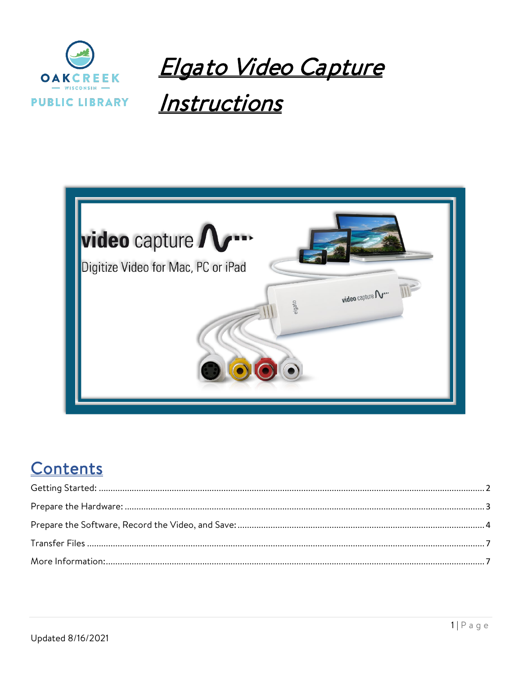

<u> Elgato Video Capture</u>

# Instructions



## Contents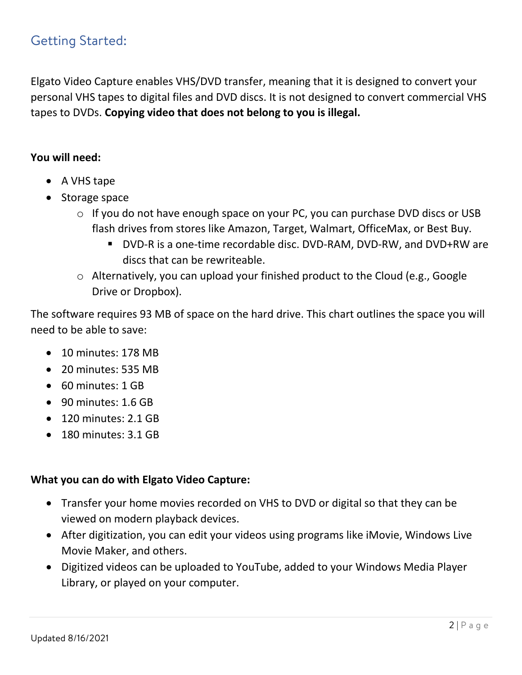## <span id="page-1-0"></span>Getting Started:

Elgato Video Capture enables VHS/DVD transfer, meaning that it is designed to convert your personal VHS tapes to digital files and DVD discs. It is not designed to convert commercial VHS tapes to DVDs. **Copying video that does not belong to you is illegal.**

### **You will need:**

- A VHS tape
- Storage space
	- o If you do not have enough space on your PC, you can purchase DVD discs or USB flash drives from stores like Amazon, Target, Walmart, OfficeMax, or Best Buy.
		- DVD-R is a one-time recordable disc. DVD-RAM, DVD-RW, and DVD+RW are discs that can be rewriteable.
	- o Alternatively, you can upload your finished product to the Cloud (e.g., Google Drive or Dropbox).

The software requires 93 MB of space on the hard drive. This chart outlines the space you will need to be able to save:

- 10 minutes: 178 MB
- 20 minutes: 535 MB
- 60 minutes: 1 GB
- 90 minutes: 1.6 GB
- 120 minutes: 2.1 GB
- 180 minutes: 3.1 GB

#### **What you can do with Elgato Video Capture:**

- Transfer your home movies recorded on VHS to DVD or digital so that they can be viewed on modern playback devices.
- After digitization, you can edit your videos using programs like iMovie, Windows Live Movie Maker, and others.
- Digitized videos can be uploaded to YouTube, added to your Windows Media Player Library, or played on your computer.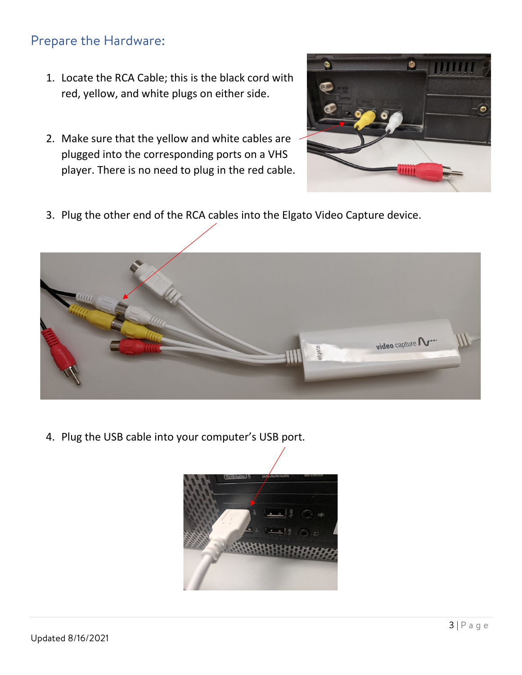## <span id="page-2-0"></span>Prepare the Hardware:

- 1. Locate the RCA Cable; this is the black cord with red, yellow, and white plugs on either side.
- 2. Make sure that the yellow and white cables are plugged into the corresponding ports on a VHS player. There is no need to plug in the red cable.



3. Plug the other end of the RCA cables into the Elgato Video Capture device.



4. Plug the USB cable into your computer's USB port.

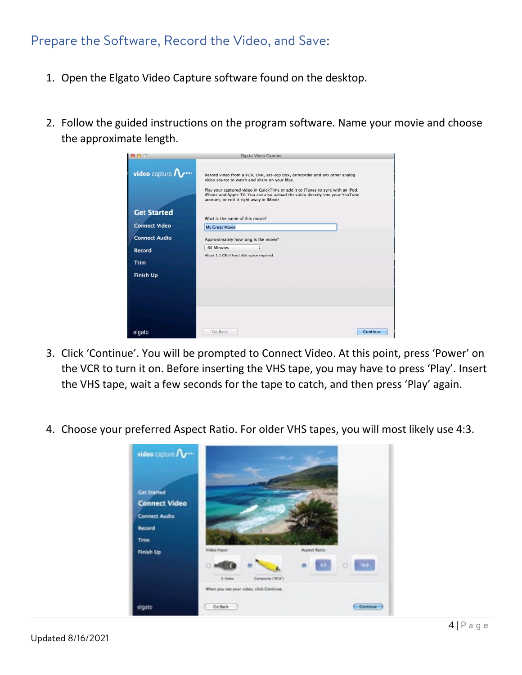## <span id="page-3-0"></span>Prepare the Software, Record the Video, and Save:

- 1. Open the Elgato Video Capture software found on the desktop.
- 2. Follow the guided instructions on the program software. Name your movie and choose the approximate length.

| $\Omega$                | Elgato Video Capture                                                                                                                                                                                                                                                                                                                       |
|-------------------------|--------------------------------------------------------------------------------------------------------------------------------------------------------------------------------------------------------------------------------------------------------------------------------------------------------------------------------------------|
| video capture $\Lambda$ | Record video from a VCR, DVR, set-top box, camcorder and any other analog<br>video source to watch and share on your Mac.<br>Play your captured video in QuickTime or add it to iTunes to sync with an iPod,<br>iPhone and Apple TV. You can also upload the video directly into your YouTube<br>account, or edit it right away in iMovie. |
| <b>Get Started</b>      | What is the name of this movie?                                                                                                                                                                                                                                                                                                            |
| <b>Connect Video</b>    | My Great Movie                                                                                                                                                                                                                                                                                                                             |
| <b>Connect Audio</b>    | Approximately how long is the movie?                                                                                                                                                                                                                                                                                                       |
| Record                  | <b>60 Minutes</b><br>۵                                                                                                                                                                                                                                                                                                                     |
| <b>Trim</b>             | About 1.1 GB of hard disk space required.                                                                                                                                                                                                                                                                                                  |
| <b>Finish Up</b>        |                                                                                                                                                                                                                                                                                                                                            |
|                         |                                                                                                                                                                                                                                                                                                                                            |
|                         |                                                                                                                                                                                                                                                                                                                                            |
|                         |                                                                                                                                                                                                                                                                                                                                            |
|                         |                                                                                                                                                                                                                                                                                                                                            |
|                         |                                                                                                                                                                                                                                                                                                                                            |
| elgato                  | Go Back<br>Continue                                                                                                                                                                                                                                                                                                                        |

- 3. Click 'Continue'. You will be prompted to Connect Video. At this point, press 'Power' on the VCR to turn it on. Before inserting the VHS tape, you may have to press 'Play'. Insert the VHS tape, wait a few seconds for the tape to catch, and then press 'Play' again.
- 4. Choose your preferred Aspect Ratio. For older VHS tapes, you will most likely use 4:3.

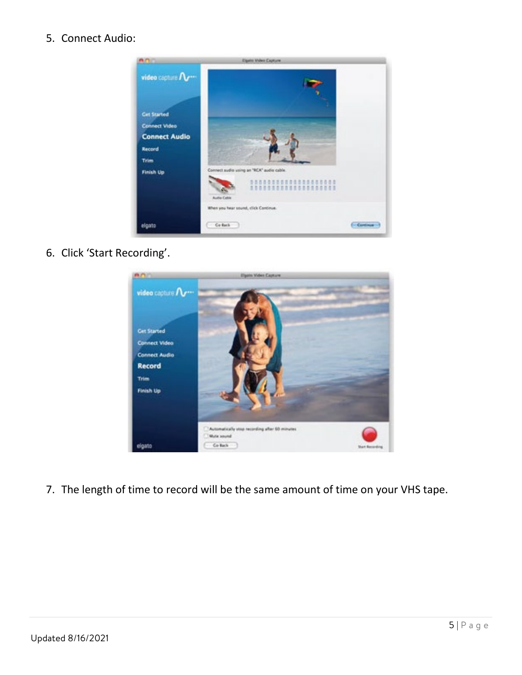5. Connect Audio:



6. Click 'Start Recording'.



7. The length of time to record will be the same amount of time on your VHS tape.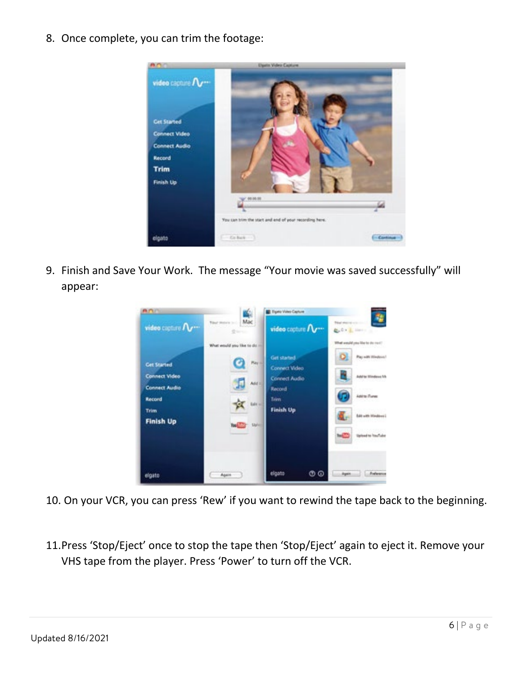8. Once complete, you can trim the footage:



9. Finish and Save Your Work. The message "Your movie was saved successfully" will appear:



- 10. On your VCR, you can press 'Rew' if you want to rewind the tape back to the beginning.
- 11.Press 'Stop/Eject' once to stop the tape then 'Stop/Eject' again to eject it. Remove your VHS tape from the player. Press 'Power' to turn off the VCR.